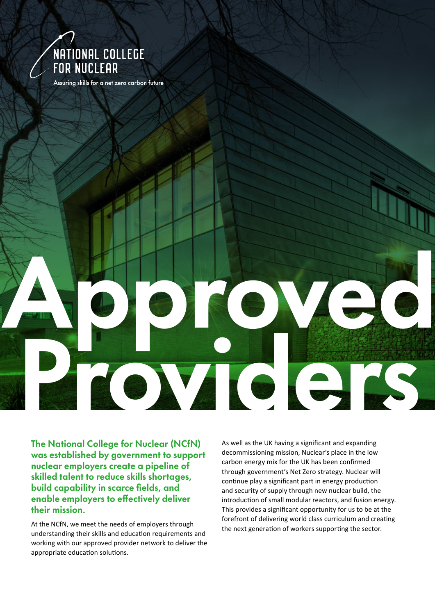

Assuring skills for a net zero carbon future

The National College for Nuclear (NCfN) was established by government to support nuclear employers create a pipeline of skilled talent to reduce skills shortages, build capability in scarce fields, and enable employers to effectively deliver their mission.

At the NCfN, we meet the needs of employers through understanding their skills and education requirements and working with our approved provider network to deliver the appropriate education solutions.

As well as the UK having a significant and expanding decommissioning mission, Nuclear's place in the low carbon energy mix for the UK has been confirmed through government's Net Zero strategy. Nuclear will continue play a significant part in energy production and security of supply through new nuclear build, the introduction of small modular reactors, and fusion energy. This provides a significant opportunity for us to be at the forefront of delivering world class curriculum and creating the next generation of workers supporting the sector.

Apple Ved

Providers